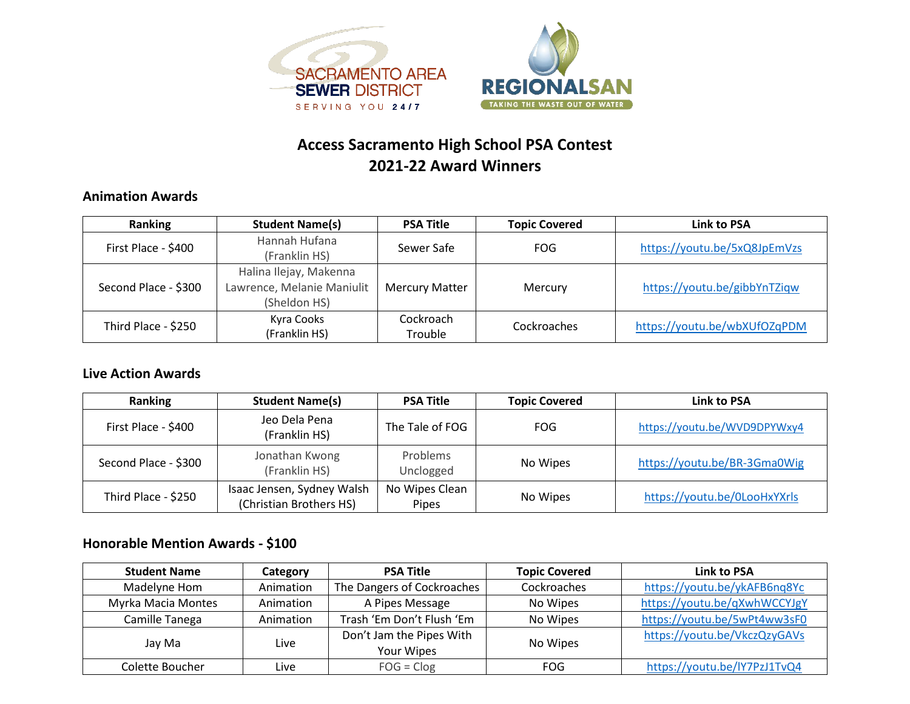



## **Access Sacramento High School PSA Contest 2021-22 Award Winners**

#### **Animation Awards**

| Ranking              | <b>Student Name(s)</b>     | <b>PSA Title</b>      | <b>Topic Covered</b> | Link to PSA                  |
|----------------------|----------------------------|-----------------------|----------------------|------------------------------|
| First Place - \$400  | Hannah Hufana              | Sewer Safe            | FOG                  | https://youtu.be/5xQ8JpEmVzs |
|                      | (Franklin HS)              |                       |                      |                              |
| Second Place - \$300 | Halina Ilejay, Makenna     |                       | Mercury              | https://youtu.be/gibbYnTZiqw |
|                      | Lawrence, Melanie Maniulit | <b>Mercury Matter</b> |                      |                              |
|                      | (Sheldon HS)               |                       |                      |                              |
| Third Place - \$250  | Kyra Cooks                 | Cockroach             | Cockroaches          | https://youtu.be/wbXUfOZqPDM |
|                      | (Franklin HS)              | Trouble               |                      |                              |

#### **Live Action Awards**

| Ranking              | <b>Student Name(s)</b>                                | <b>PSA Title</b>                         | <b>Topic Covered</b> | Link to PSA                  |
|----------------------|-------------------------------------------------------|------------------------------------------|----------------------|------------------------------|
| First Place - \$400  | Jeo Dela Pena<br>(Franklin HS)                        | The Tale of FOG                          | <b>FOG</b>           | https://youtu.be/WVD9DPYWxy4 |
| Second Place - \$300 | Jonathan Kwong<br>(Franklin HS)                       | <b>Problems</b><br>No Wipes<br>Unclogged |                      | https://youtu.be/BR-3Gma0Wig |
| Third Place - \$250  | Isaac Jensen, Sydney Walsh<br>(Christian Brothers HS) | No Wipes Clean<br><b>Pipes</b>           | No Wipes             | https://youtu.be/0LooHxYXrls |

### **Honorable Mention Awards - \$100**

| <b>Student Name</b> | Category  | <b>PSA Title</b>                              | <b>Topic Covered</b> | Link to PSA                  |
|---------------------|-----------|-----------------------------------------------|----------------------|------------------------------|
| Madelyne Hom        | Animation | The Dangers of Cockroaches<br>Cockroaches     |                      | https://youtu.be/ykAFB6nq8Yc |
| Myrka Macia Montes  | Animation | A Pipes Message<br>No Wipes                   |                      | https://youtu.be/qXwhWCCYJgY |
| Camille Tanega      | Animation | Trash 'Em Don't Flush 'Em<br>No Wipes         |                      | https://youtu.be/5wPt4ww3sF0 |
| Jay Ma              | Live      | Don't Jam the Pipes With<br><b>Your Wipes</b> | No Wipes             | https://youtu.be/VkczQzyGAVs |
| Colette Boucher     | Live      | $FOG = Clog$                                  | <b>FOG</b>           | https://youtu.be/lY7PzJ1TvQ4 |